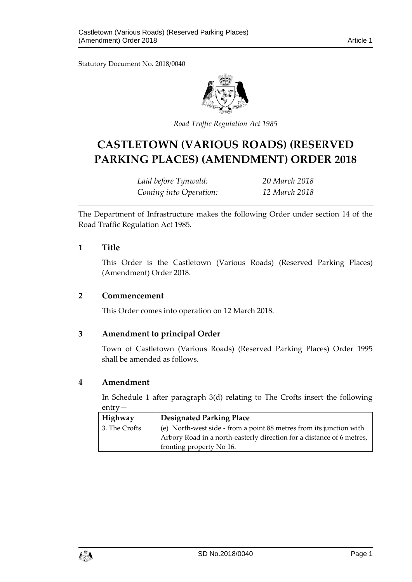Statutory Document No. 2018/0040



*Road Traffic Regulation Act 1985*

# **CASTLETOWN (VARIOUS ROADS) (RESERVED PARKING PLACES) (AMENDMENT) ORDER 2018**

*Laid before Tynwald: 20 March 2018 Coming into Operation: 12 March 2018*

The Department of Infrastructure makes the following Order under section 14 of the Road Traffic Regulation Act 1985.

#### **1 Title**

This Order is the Castletown (Various Roads) (Reserved Parking Places) (Amendment) Order 2018.

#### **2 Commencement**

This Order comes into operation on 12 March 2018.

## **3 Amendment to principal Order**

Town of Castletown (Various Roads) (Reserved Parking Places) Order 1995 shall be amended as follows.

## **4 Amendment**

In Schedule 1 after paragraph 3(d) relating to The Crofts insert the following entry—

| Highway       | <b>Designated Parking Place</b>                                       |
|---------------|-----------------------------------------------------------------------|
| 3. The Crofts | (e) North-west side - from a point 88 metres from its junction with   |
|               | Arbory Road in a north-easterly direction for a distance of 6 metres, |
|               | fronting property No 16.                                              |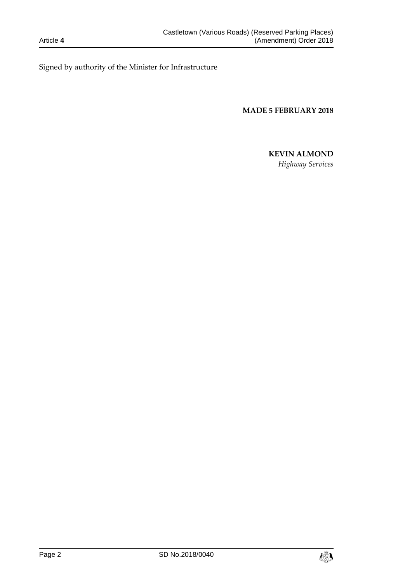Signed by authority of the Minister for Infrastructure

**MADE 5 FEBRUARY 2018**

#### **KEVIN ALMOND**

*Highway Services*